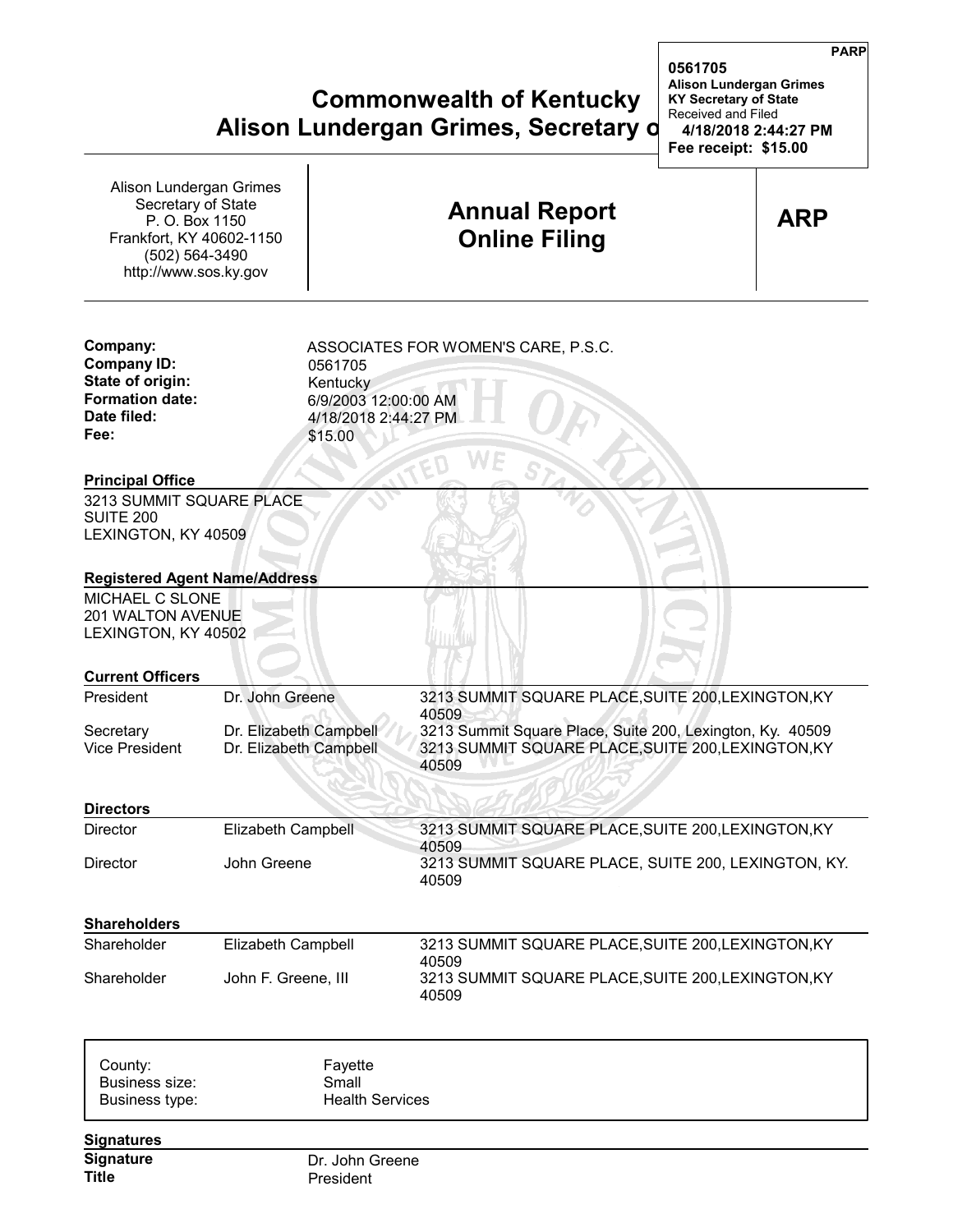## **Commonwealth of Kentucky KY Secretary of State Alison Lundergan Grimes, Secretary d** 14/18/20

| Alison Lundergan Grimes<br>Secretary of State<br>P. O. Box 1150<br>Frankfort, KY 40602-1150<br>(502) 564-3490<br>http://www.sos.ky.gov |                                                                                | <b>Annual Report</b><br><b>Online Filing</b>                                                                                                                                            | <b>ARP</b> |
|----------------------------------------------------------------------------------------------------------------------------------------|--------------------------------------------------------------------------------|-----------------------------------------------------------------------------------------------------------------------------------------------------------------------------------------|------------|
| Company:<br><b>Company ID:</b><br>State of origin:<br><b>Formation date:</b><br>Date filed:<br>Fee:                                    | 0561705<br>Kentucky<br>6/9/2003 12:00:00 AM<br>4/18/2018 2:44:27 PM<br>\$15.00 | ASSOCIATES FOR WOMEN'S CARE, P.S.C.                                                                                                                                                     |            |
| <b>Principal Office</b><br>3213 SUMMIT SQUARE PLACE<br>SUITE 200<br>LEXINGTON, KY 40509                                                |                                                                                |                                                                                                                                                                                         |            |
| <b>Registered Agent Name/Address</b><br>MICHAEL C SLONE<br>201 WALTON AVENUE<br>LEXINGTON, KY 40502                                    |                                                                                |                                                                                                                                                                                         |            |
| <b>Current Officers</b><br>President                                                                                                   | Dr. John Greene                                                                |                                                                                                                                                                                         |            |
| Secretary<br><b>Vice President</b>                                                                                                     | Dr. Elizabeth Campbell<br>Dr. Elizabeth Campbell                               | 3213 SUMMIT SQUARE PLACE, SUITE 200, LEXINGTON, KY<br>40509<br>3213 Summit Square Place, Suite 200, Lexington, Ky. 40509<br>3213 SUMMIT SQUARE PLACE, SUITE 200, LEXINGTON, KY<br>40509 |            |
| <b>Directors</b>                                                                                                                       |                                                                                |                                                                                                                                                                                         |            |
| <b>Director</b>                                                                                                                        | <b>Elizabeth Campbell</b>                                                      | 3213 SUMMIT SQUARE PLACE, SUITE 200, LEXINGTON, KY                                                                                                                                      |            |
| Director                                                                                                                               | John Greene                                                                    | 40509<br>3213 SUMMIT SQUARE PLACE, SUITE 200, LEXINGTON, KY.<br>40509                                                                                                                   |            |
| <b>Shareholders</b>                                                                                                                    |                                                                                |                                                                                                                                                                                         |            |
| Shareholder                                                                                                                            | Elizabeth Campbell                                                             | 3213 SUMMIT SQUARE PLACE, SUITE 200, LEXINGTON, KY                                                                                                                                      |            |
| Shareholder                                                                                                                            | John F. Greene, III                                                            | 40509<br>3213 SUMMIT SQUARE PLACE, SUITE 200, LEXINGTON, KY<br>40509                                                                                                                    |            |
| County:<br>Business size:<br>Business type:                                                                                            | Fayette<br>Small<br><b>Health Services</b>                                     |                                                                                                                                                                                         |            |
| <b>Signatures</b>                                                                                                                      |                                                                                |                                                                                                                                                                                         |            |
| <b>Signature</b><br>Title                                                                                                              | Dr. John Greene<br>President                                                   |                                                                                                                                                                                         |            |